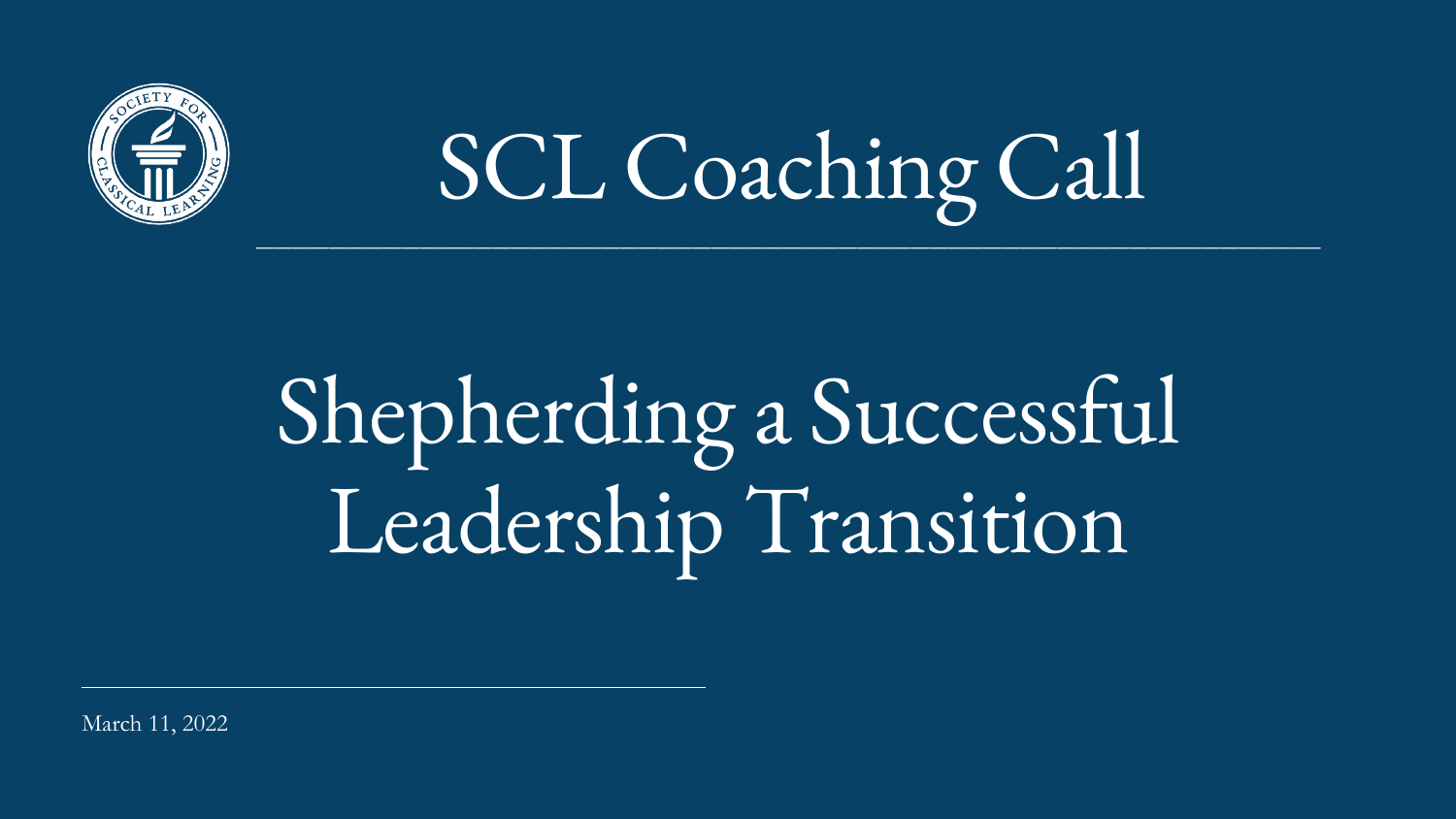## Shepherding a Successful Leadership Transition

March 11, 2022



#### $\mathcal{L}_\mathcal{L} = \mathcal{L}_\mathcal{L} = \mathcal{L}_\mathcal{L} = \mathcal{L}_\mathcal{L} = \mathcal{L}_\mathcal{L} = \mathcal{L}_\mathcal{L} = \mathcal{L}_\mathcal{L} = \mathcal{L}_\mathcal{L} = \mathcal{L}_\mathcal{L} = \mathcal{L}_\mathcal{L} = \mathcal{L}_\mathcal{L} = \mathcal{L}_\mathcal{L} = \mathcal{L}_\mathcal{L} = \mathcal{L}_\mathcal{L} = \mathcal{L}_\mathcal{L} = \mathcal{L}_\mathcal{L} = \mathcal{L}_\mathcal{L}$ SCL Coaching Call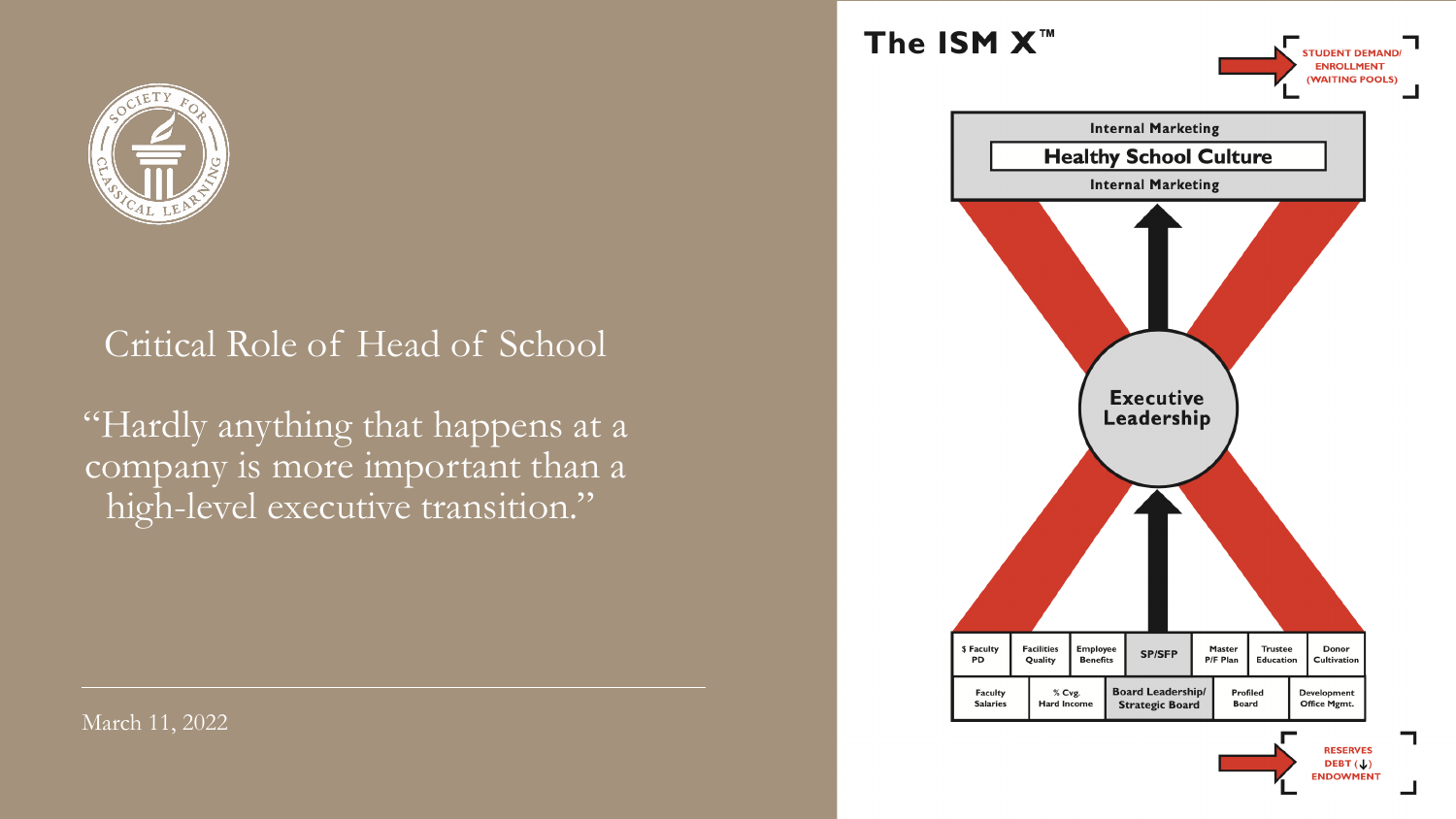

#### Critical Role of Head of School

"Hardly anything that happens at a company is more important than a high-level executive transition."

March 11, 2022

#### The ISM X<sup>™</sup>



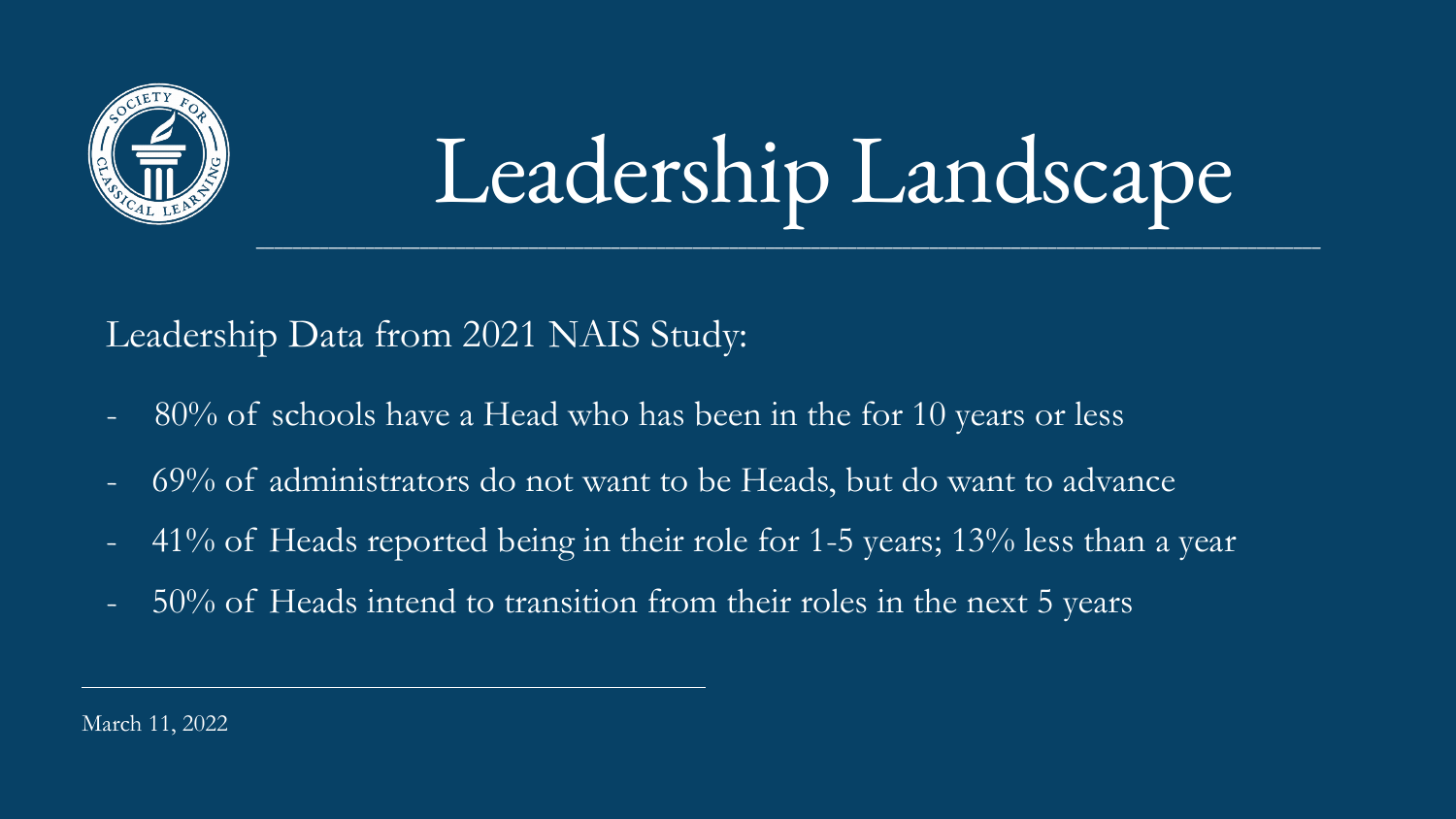

#### Leadership Landscape  $\mathcal{L}_\mathcal{L} = \mathcal{L}_\mathcal{L} = \mathcal{L}_\mathcal{L} = \mathcal{L}_\mathcal{L} = \mathcal{L}_\mathcal{L} = \mathcal{L}_\mathcal{L} = \mathcal{L}_\mathcal{L} = \mathcal{L}_\mathcal{L} = \mathcal{L}_\mathcal{L} = \mathcal{L}_\mathcal{L} = \mathcal{L}_\mathcal{L} = \mathcal{L}_\mathcal{L} = \mathcal{L}_\mathcal{L} = \mathcal{L}_\mathcal{L} = \mathcal{L}_\mathcal{L} = \mathcal{L}_\mathcal{L} = \mathcal{L}_\mathcal{L}$

Leadership Data from 2021 NAIS Study:

- 80% of schools have a Head who has been in the for 10 years or less
- 69% of administrators do not want to be Heads, but do want to advance
- $-$  41% of Heads reported being in their role for 1-5 years; 13% less than a year
- 50% of Heads intend to transition from their roles in the next 5 years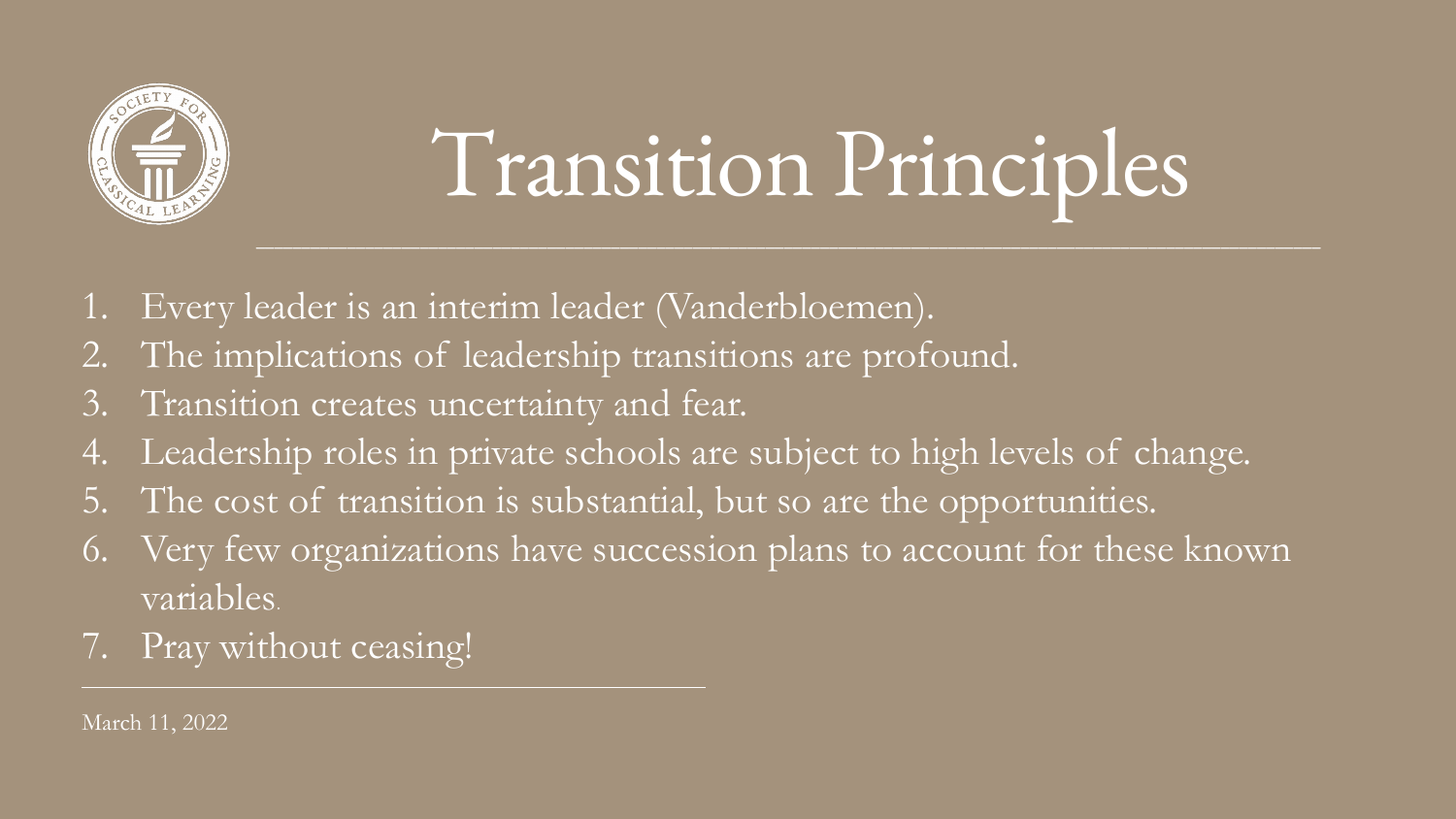- Every leader is an interim leader (Vanderbloemen).
- 2. The implications of leadership transitions are profound.
- 3. Transition creates uncertainty and fear.
- 4. Leadership roles in private schools are subject to high levels of change.
- 5. The cost of transition is substantial, but so are the opportunities.
- 6. Very few organizations have succession plans to account for these known variables.
- 7. Pray without ceasing!



## Transition Principles

 $\mathcal{L}_\mathcal{L} = \mathcal{L}_\mathcal{L} = \mathcal{L}_\mathcal{L} = \mathcal{L}_\mathcal{L} = \mathcal{L}_\mathcal{L} = \mathcal{L}_\mathcal{L} = \mathcal{L}_\mathcal{L} = \mathcal{L}_\mathcal{L} = \mathcal{L}_\mathcal{L} = \mathcal{L}_\mathcal{L} = \mathcal{L}_\mathcal{L} = \mathcal{L}_\mathcal{L} = \mathcal{L}_\mathcal{L} = \mathcal{L}_\mathcal{L} = \mathcal{L}_\mathcal{L} = \mathcal{L}_\mathcal{L} = \mathcal{L}_\mathcal{L}$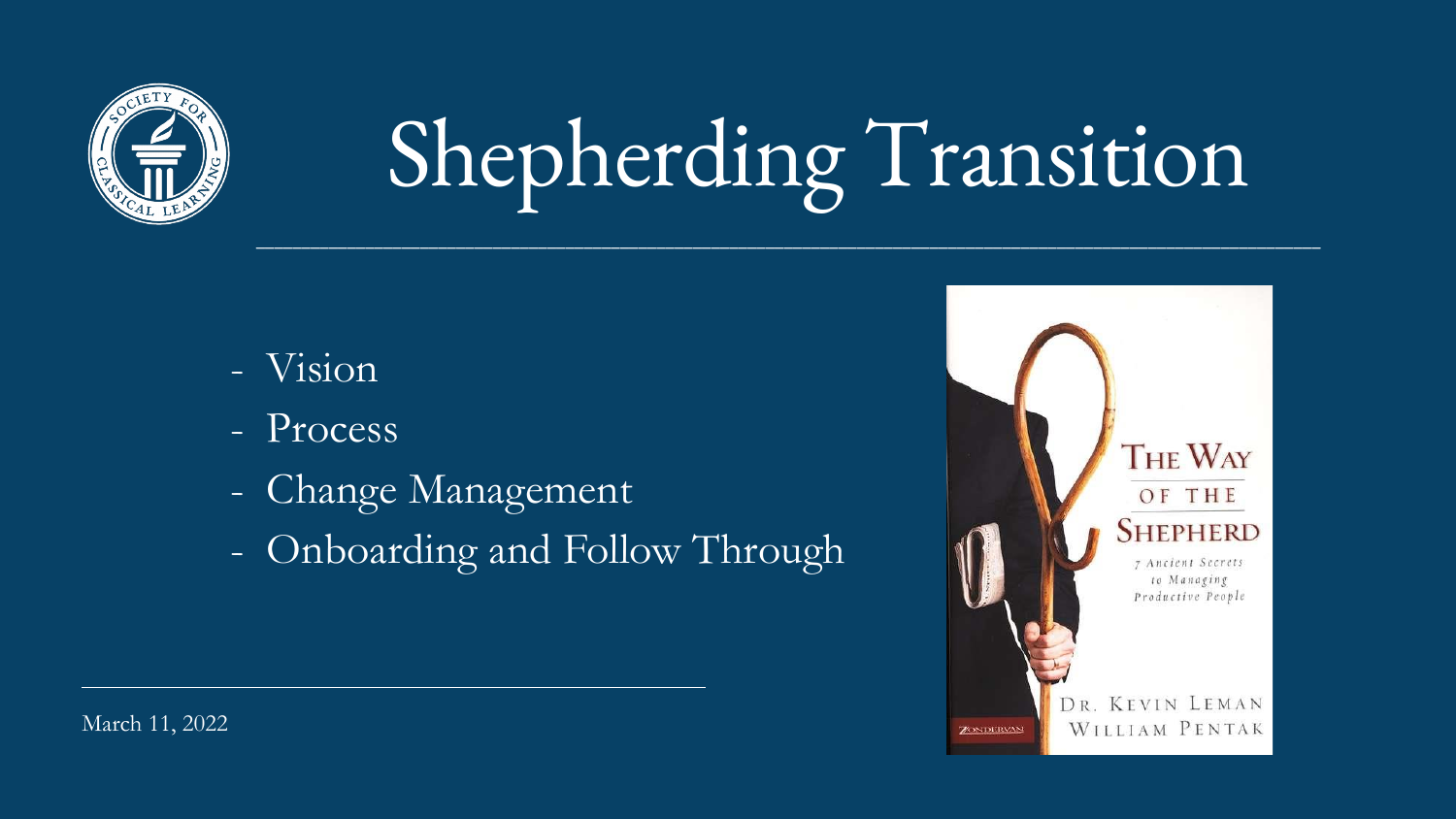

# Shepherding Transition

 $\mathcal{L}_\mathcal{L} = \mathcal{L}_\mathcal{L} = \mathcal{L}_\mathcal{L} = \mathcal{L}_\mathcal{L} = \mathcal{L}_\mathcal{L} = \mathcal{L}_\mathcal{L} = \mathcal{L}_\mathcal{L} = \mathcal{L}_\mathcal{L} = \mathcal{L}_\mathcal{L} = \mathcal{L}_\mathcal{L} = \mathcal{L}_\mathcal{L} = \mathcal{L}_\mathcal{L} = \mathcal{L}_\mathcal{L} = \mathcal{L}_\mathcal{L} = \mathcal{L}_\mathcal{L} = \mathcal{L}_\mathcal{L} = \mathcal{L}_\mathcal{L}$ 



- Vision
- Process
- Change Management
- Onboarding and Follow Through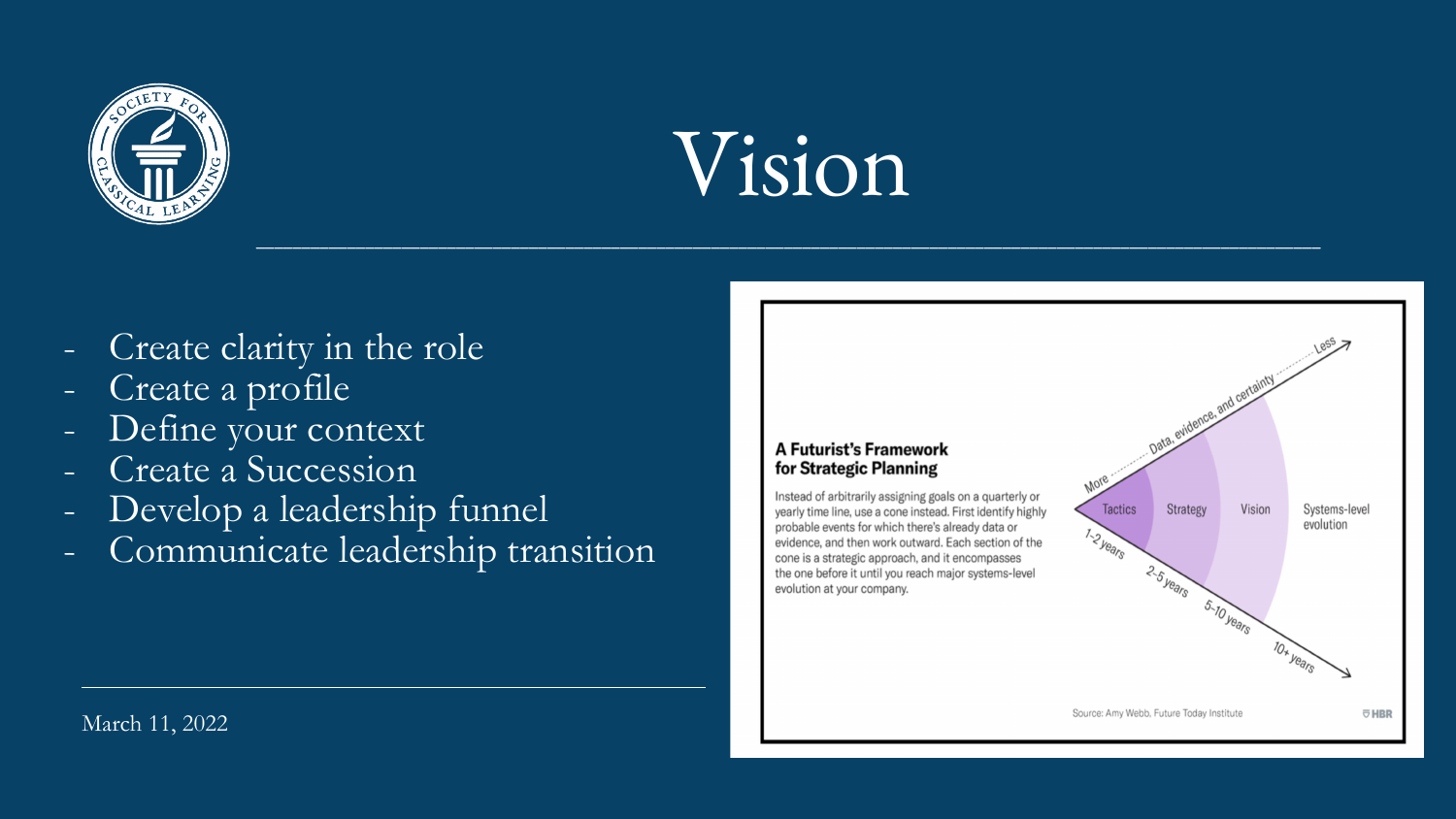

### Vision

 $\mathcal{L}_\mathcal{L} = \mathcal{L}_\mathcal{L} = \mathcal{L}_\mathcal{L} = \mathcal{L}_\mathcal{L} = \mathcal{L}_\mathcal{L} = \mathcal{L}_\mathcal{L} = \mathcal{L}_\mathcal{L} = \mathcal{L}_\mathcal{L} = \mathcal{L}_\mathcal{L} = \mathcal{L}_\mathcal{L} = \mathcal{L}_\mathcal{L} = \mathcal{L}_\mathcal{L} = \mathcal{L}_\mathcal{L} = \mathcal{L}_\mathcal{L} = \mathcal{L}_\mathcal{L} = \mathcal{L}_\mathcal{L} = \mathcal{L}_\mathcal{L}$ 

March 11, 2022



- Create clarity in the role
- Create a profile
- Define your context
- Create a Succession
- Develop a leadership funnel
- Communicate leadership transition

#### **A Futurist's Framework** for Strategic Planning

Instead of arbitrarily assigning goals on a quarterly or yearly time line, use a cone instead. First identify highly probable events for which there's already data or evidence, and then work outward. Each section of the cone is a strategic approach, and it encompasses the one before it until you reach major systems-level evolution at your company.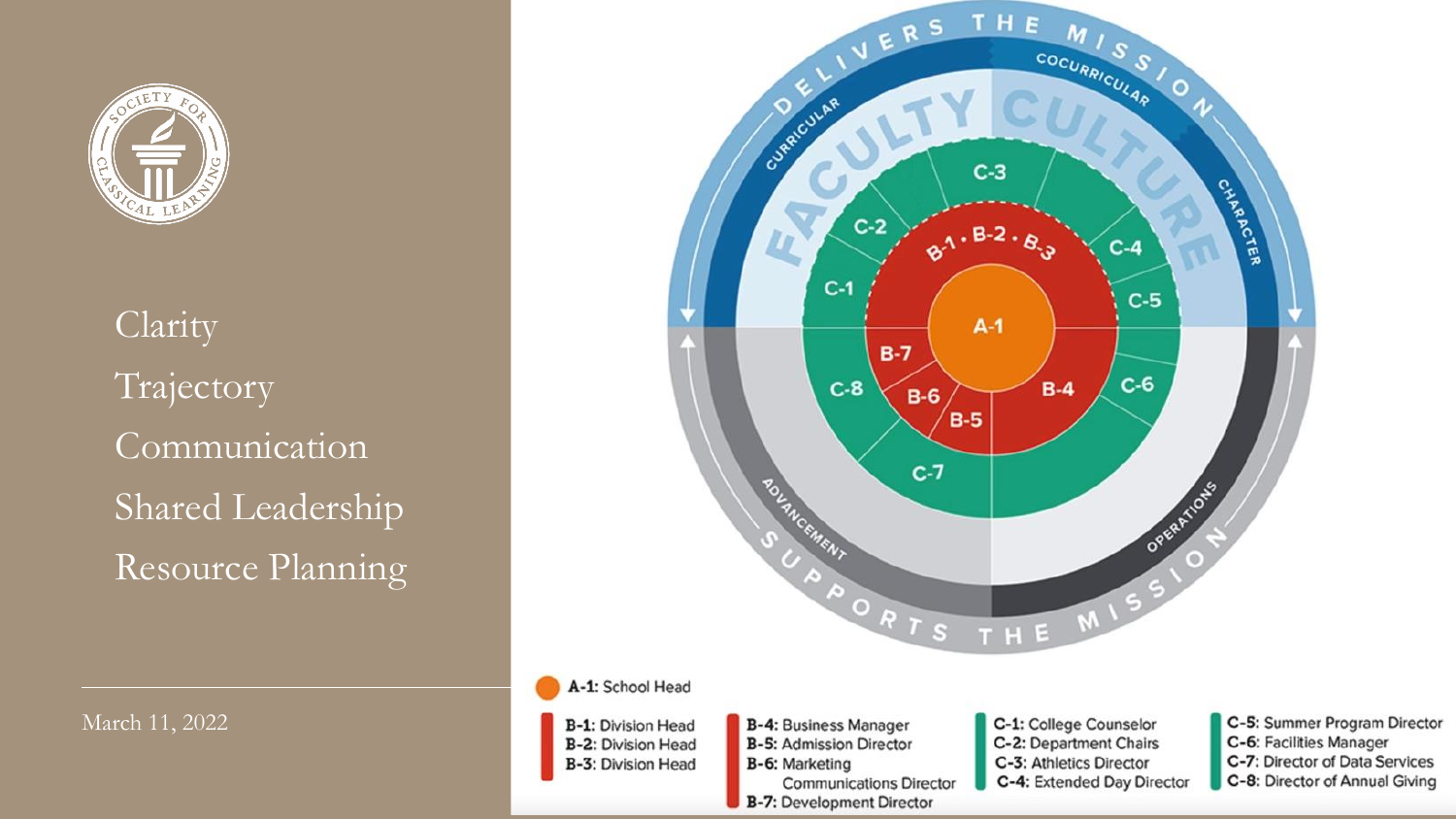

Clarity Trajectory Communication Shared Leadership Resource Planning

March 11, 2022



C-5: Summer Program Director

C-6: Facilities Manager

C-7: Director of Data Services

C-8: Director of Annual Giving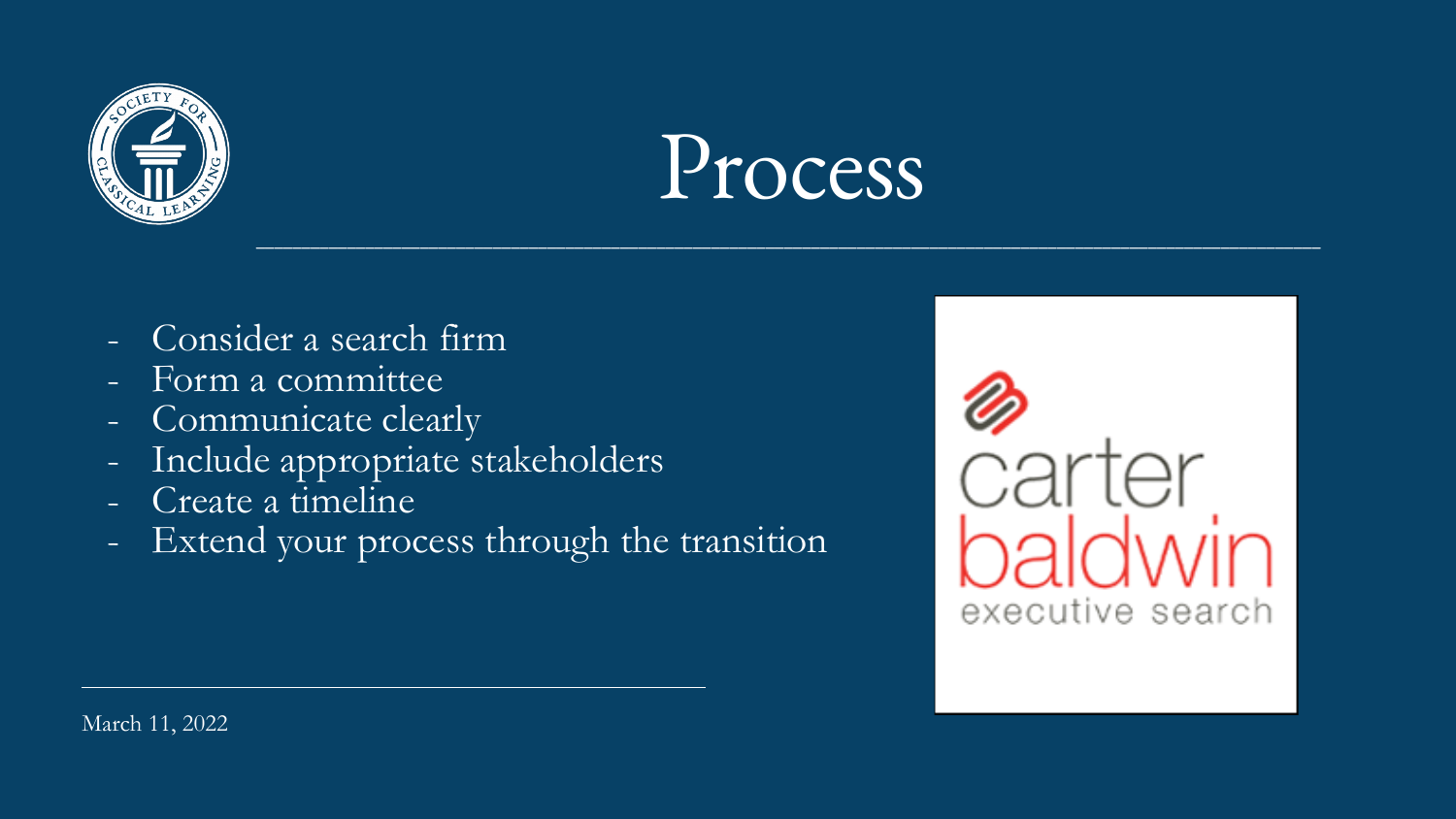

### Process

 $\mathcal{L}_\mathcal{L} = \mathcal{L}_\mathcal{L} = \mathcal{L}_\mathcal{L} = \mathcal{L}_\mathcal{L} = \mathcal{L}_\mathcal{L} = \mathcal{L}_\mathcal{L} = \mathcal{L}_\mathcal{L} = \mathcal{L}_\mathcal{L} = \mathcal{L}_\mathcal{L} = \mathcal{L}_\mathcal{L} = \mathcal{L}_\mathcal{L} = \mathcal{L}_\mathcal{L} = \mathcal{L}_\mathcal{L} = \mathcal{L}_\mathcal{L} = \mathcal{L}_\mathcal{L} = \mathcal{L}_\mathcal{L} = \mathcal{L}_\mathcal{L}$ 





- Consider a search firm
- Form a committee
- Communicate clearly
- Include appropriate stakeholders
- Create a timeline
- Extend your process through the transition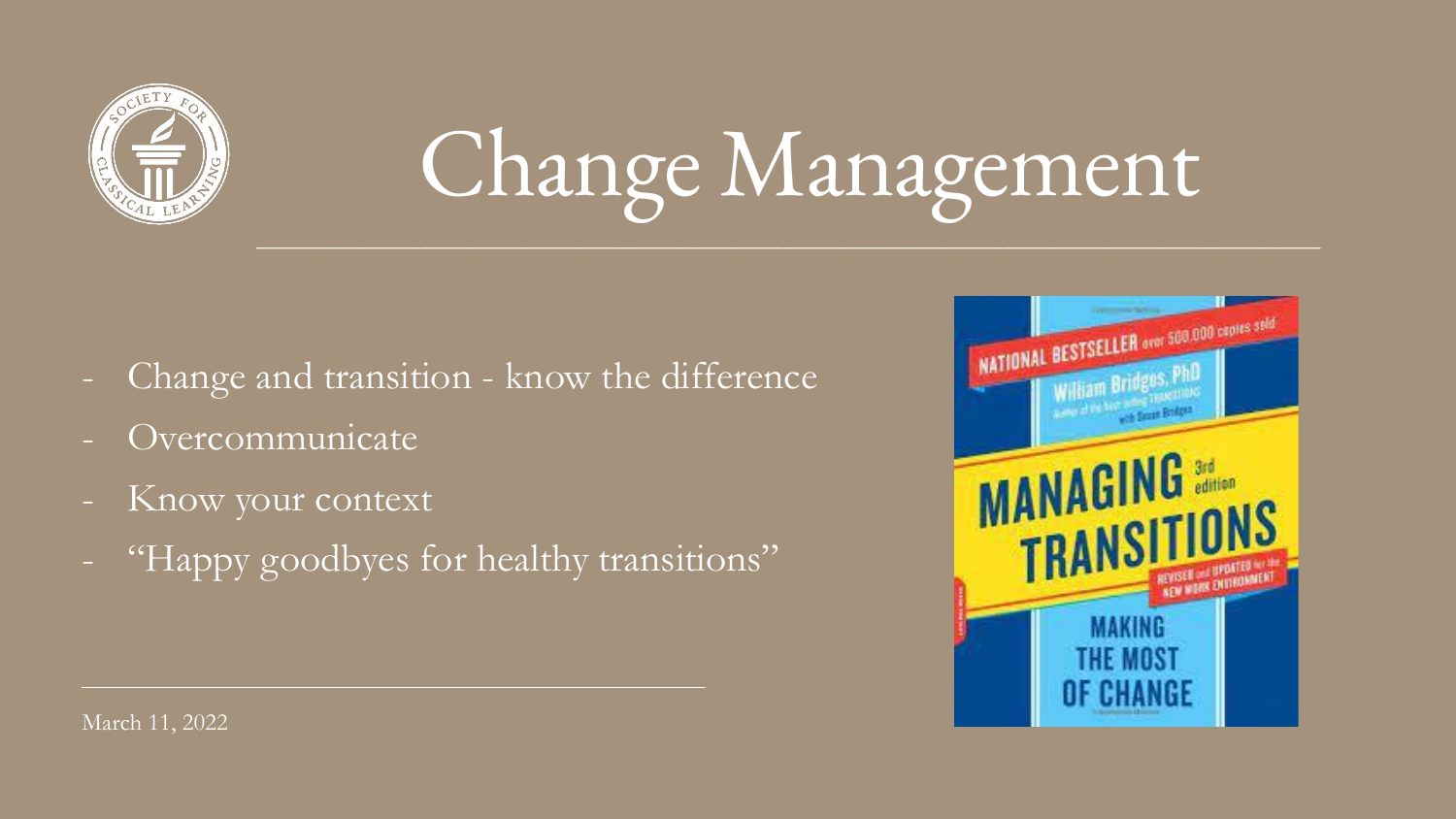

- Change and transition know the difference
- Overcommunicate
- Know your context
- "Happy goodbyes for healthy transitions"

### Change Management  $\mathcal{L}_\mathcal{L} = \mathcal{L}_\mathcal{L} = \mathcal{L}_\mathcal{L} = \mathcal{L}_\mathcal{L} = \mathcal{L}_\mathcal{L} = \mathcal{L}_\mathcal{L} = \mathcal{L}_\mathcal{L} = \mathcal{L}_\mathcal{L} = \mathcal{L}_\mathcal{L} = \mathcal{L}_\mathcal{L} = \mathcal{L}_\mathcal{L} = \mathcal{L}_\mathcal{L} = \mathcal{L}_\mathcal{L} = \mathcal{L}_\mathcal{L} = \mathcal{L}_\mathcal{L} = \mathcal{L}_\mathcal{L} = \mathcal{L}_\mathcal{L}$



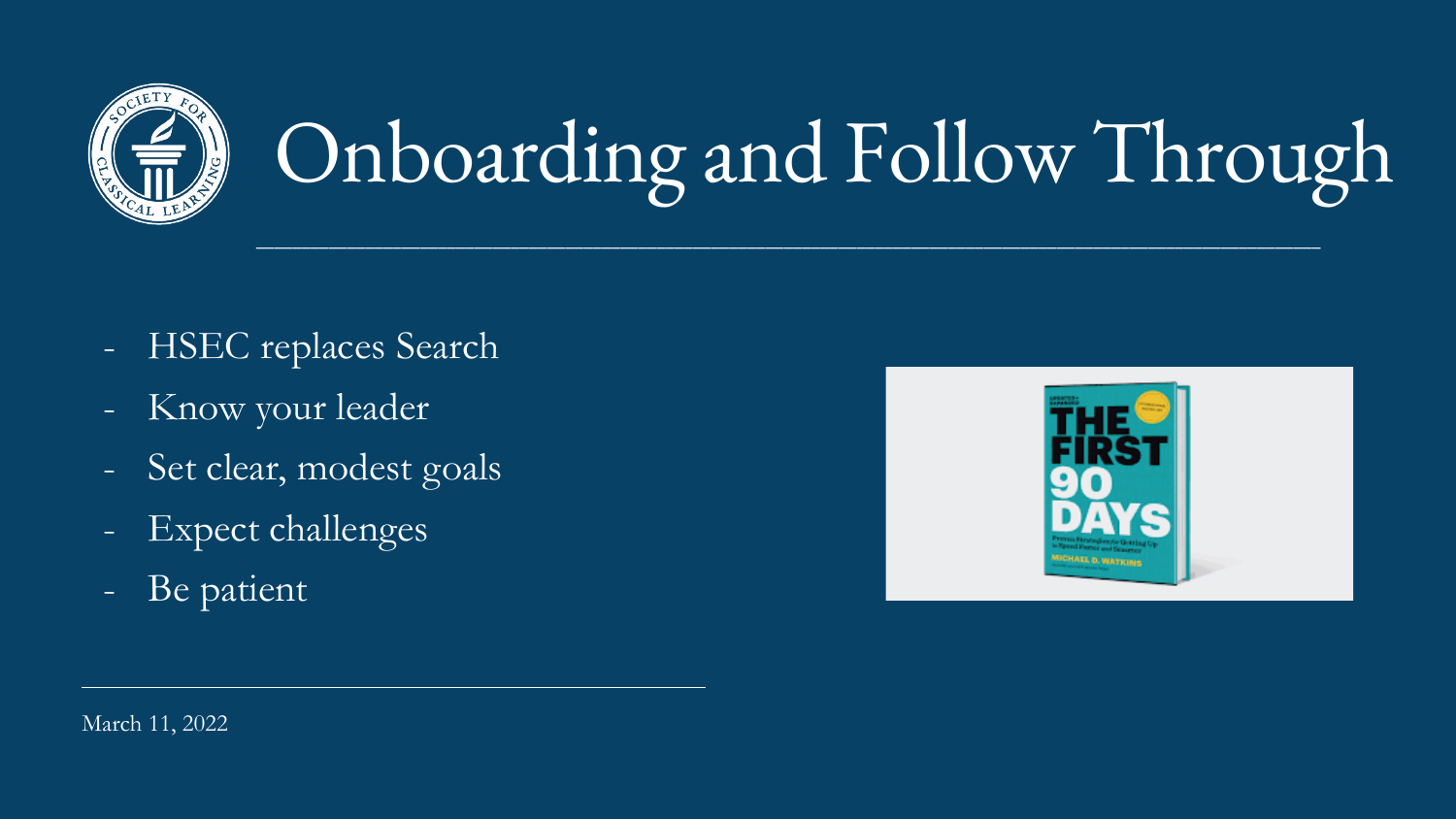March 11, 2022



- HSEC replaces Search
- Know your leader
- Set clear, modest goals
- Expect challenges
- Be patient



 $\mathcal{L}_\mathcal{L} = \mathcal{L}_\mathcal{L} = \mathcal{L}_\mathcal{L} = \mathcal{L}_\mathcal{L} = \mathcal{L}_\mathcal{L} = \mathcal{L}_\mathcal{L} = \mathcal{L}_\mathcal{L} = \mathcal{L}_\mathcal{L} = \mathcal{L}_\mathcal{L} = \mathcal{L}_\mathcal{L} = \mathcal{L}_\mathcal{L} = \mathcal{L}_\mathcal{L} = \mathcal{L}_\mathcal{L} = \mathcal{L}_\mathcal{L} = \mathcal{L}_\mathcal{L} = \mathcal{L}_\mathcal{L} = \mathcal{L}_\mathcal{L}$